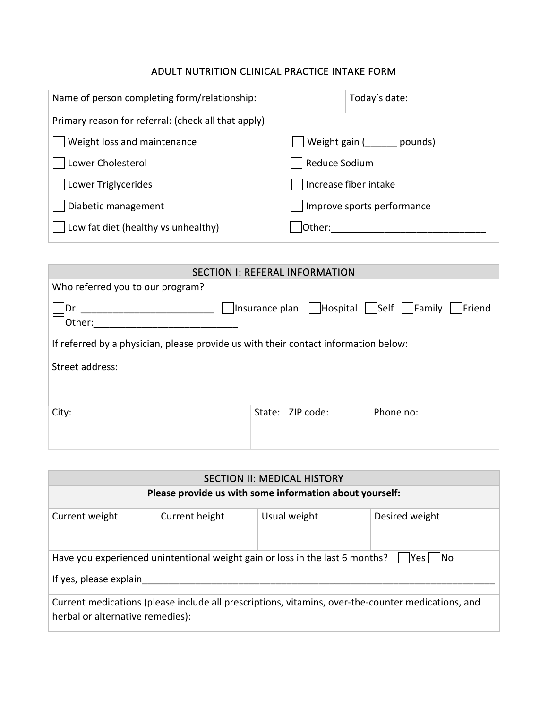## ADULT NUTRITION CLINICAL PRACTICE INTAKE FORM

| Name of person completing form/relationship:        |               | Today's date:              |
|-----------------------------------------------------|---------------|----------------------------|
| Primary reason for referral: (check all that apply) |               |                            |
| Weight loss and maintenance                         |               | Weight gain (<br>pounds)   |
| Lower Cholesterol                                   | Reduce Sodium |                            |
| Lower Triglycerides                                 |               | Increase fiber intake      |
| Diabetic management                                 |               | Improve sports performance |
| Low fat diet (healthy vs unhealthy)                 | Other:        |                            |

| <b>SECTION I: REFERAL INFORMATION</b>                                               |        |           |                                                    |  |  |  |  |
|-------------------------------------------------------------------------------------|--------|-----------|----------------------------------------------------|--|--|--|--|
| Who referred you to our program?                                                    |        |           |                                                    |  |  |  |  |
| Dr.<br>Other:                                                                       |        |           | Insurance plan   Hospital   Self   Family   Friend |  |  |  |  |
| If referred by a physician, please provide us with their contact information below: |        |           |                                                    |  |  |  |  |
| Street address:                                                                     |        |           |                                                    |  |  |  |  |
| City:                                                                               | State: | ZIP code: | Phone no:                                          |  |  |  |  |

| <b>SECTION II: MEDICAL HISTORY</b>                                                                                                     |                                                         |              |                |  |  |  |  |
|----------------------------------------------------------------------------------------------------------------------------------------|---------------------------------------------------------|--------------|----------------|--|--|--|--|
|                                                                                                                                        | Please provide us with some information about yourself: |              |                |  |  |  |  |
| Current weight                                                                                                                         | Current height                                          | Usual weight | Desired weight |  |  |  |  |
| Have you experienced unintentional weight gain or loss in the last 6 months?<br> Yes <br>- INo<br>If yes, please explain               |                                                         |              |                |  |  |  |  |
| Current medications (please include all prescriptions, vitamins, over-the-counter medications, and<br>herbal or alternative remedies): |                                                         |              |                |  |  |  |  |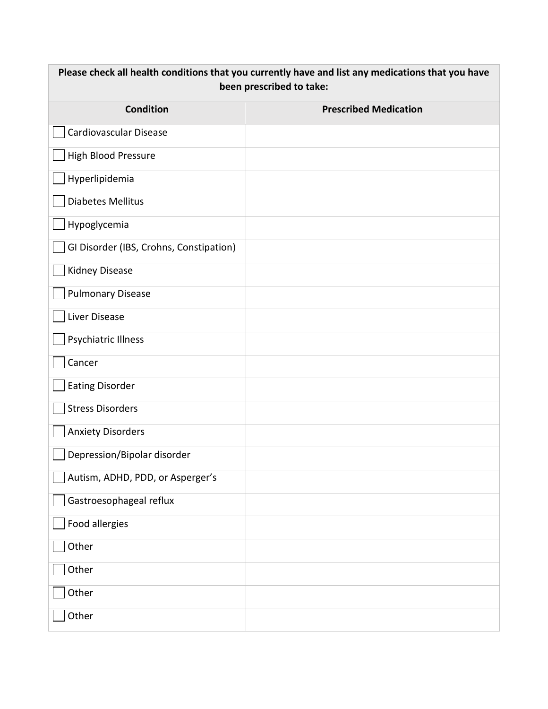| Please check all health conditions that you currently have and list any medications that you have<br>been prescribed to take: |                              |  |  |  |  |  |
|-------------------------------------------------------------------------------------------------------------------------------|------------------------------|--|--|--|--|--|
| <b>Condition</b>                                                                                                              | <b>Prescribed Medication</b> |  |  |  |  |  |
| Cardiovascular Disease                                                                                                        |                              |  |  |  |  |  |
| <b>High Blood Pressure</b>                                                                                                    |                              |  |  |  |  |  |
| Hyperlipidemia                                                                                                                |                              |  |  |  |  |  |
| <b>Diabetes Mellitus</b>                                                                                                      |                              |  |  |  |  |  |
| Hypoglycemia                                                                                                                  |                              |  |  |  |  |  |
| GI Disorder (IBS, Crohns, Constipation)                                                                                       |                              |  |  |  |  |  |
| <b>Kidney Disease</b>                                                                                                         |                              |  |  |  |  |  |
| <b>Pulmonary Disease</b>                                                                                                      |                              |  |  |  |  |  |
| Liver Disease                                                                                                                 |                              |  |  |  |  |  |
| Psychiatric Illness                                                                                                           |                              |  |  |  |  |  |
| Cancer                                                                                                                        |                              |  |  |  |  |  |
| <b>Eating Disorder</b>                                                                                                        |                              |  |  |  |  |  |
| <b>Stress Disorders</b>                                                                                                       |                              |  |  |  |  |  |
| <b>Anxiety Disorders</b>                                                                                                      |                              |  |  |  |  |  |
| Depression/Bipolar disorder                                                                                                   |                              |  |  |  |  |  |
| Autism, ADHD, PDD, or Asperger's                                                                                              |                              |  |  |  |  |  |
| Gastroesophageal reflux                                                                                                       |                              |  |  |  |  |  |
| Food allergies                                                                                                                |                              |  |  |  |  |  |
| Other                                                                                                                         |                              |  |  |  |  |  |
| Other                                                                                                                         |                              |  |  |  |  |  |
| Other                                                                                                                         |                              |  |  |  |  |  |
| Other                                                                                                                         |                              |  |  |  |  |  |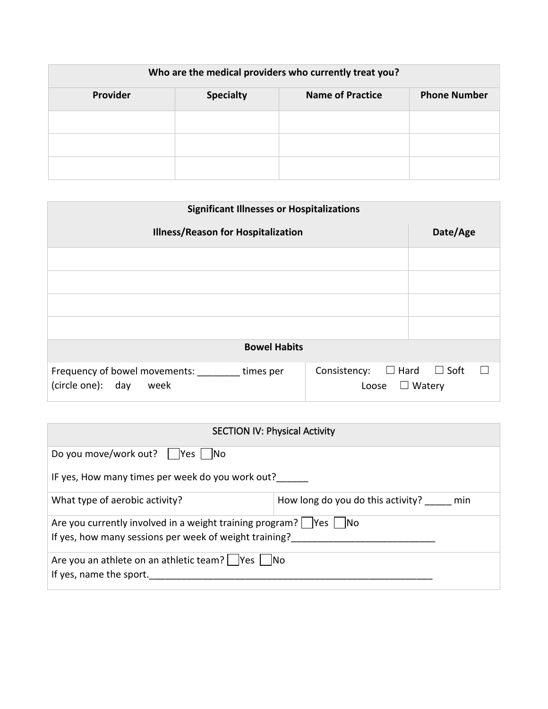| Who are the medical providers who currently treat you? |                  |                         |                     |  |  |  |  |  |
|--------------------------------------------------------|------------------|-------------------------|---------------------|--|--|--|--|--|
| Provider                                               | <b>Specialty</b> | <b>Name of Practice</b> | <b>Phone Number</b> |  |  |  |  |  |
|                                                        |                  |                         |                     |  |  |  |  |  |
|                                                        |                  |                         |                     |  |  |  |  |  |
|                                                        |                  |                         |                     |  |  |  |  |  |

| <b>Significant Illnesses or Hospitalizations</b>                        |                                      |                              |  |  |  |  |  |  |
|-------------------------------------------------------------------------|--------------------------------------|------------------------------|--|--|--|--|--|--|
| <b>Illness/Reason for Hospitalization</b>                               | Date/Age                             |                              |  |  |  |  |  |  |
|                                                                         |                                      |                              |  |  |  |  |  |  |
|                                                                         |                                      |                              |  |  |  |  |  |  |
|                                                                         |                                      |                              |  |  |  |  |  |  |
|                                                                         |                                      |                              |  |  |  |  |  |  |
| <b>Bowel Habits</b>                                                     |                                      |                              |  |  |  |  |  |  |
| Frequency of bowel movements:<br>times per<br>(circle one): day<br>week | $\Box$ Hard<br>Consistency:<br>Loose | $\Box$ Soft<br>$\Box$ Watery |  |  |  |  |  |  |

| <b>SECTION IV: Physical Activity</b>                                                                                                |                                          |  |  |  |  |
|-------------------------------------------------------------------------------------------------------------------------------------|------------------------------------------|--|--|--|--|
| Do you move/work out?     Yes     No                                                                                                |                                          |  |  |  |  |
| IF yes, How many times per week do you work out?                                                                                    |                                          |  |  |  |  |
| What type of aerobic activity?                                                                                                      | How long do you do this activity?<br>min |  |  |  |  |
| Are you currently involved in a weight training program? $ $  Yes $ $  No<br>If yes, how many sessions per week of weight training? |                                          |  |  |  |  |
| Are you an athlete on an athletic team?   Yes   No<br>If yes, name the sport.                                                       |                                          |  |  |  |  |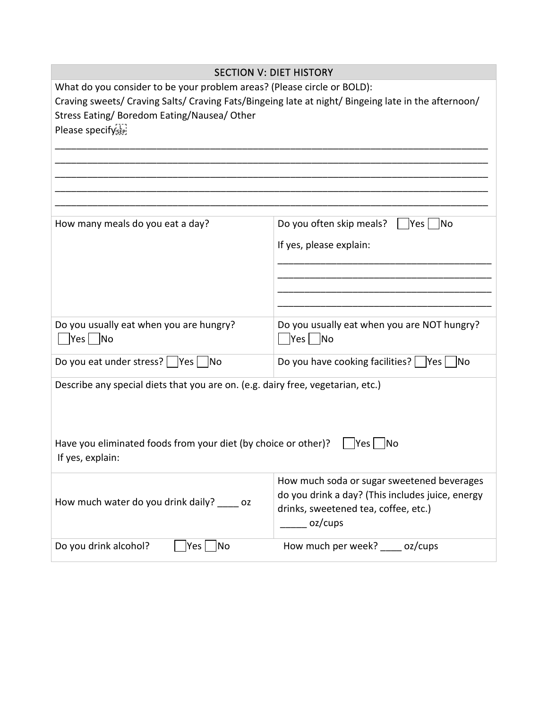| <b>SECTION V: DIET HISTORY</b>                                                                                                                                                                                                                     |                                                            |  |  |  |  |  |  |
|----------------------------------------------------------------------------------------------------------------------------------------------------------------------------------------------------------------------------------------------------|------------------------------------------------------------|--|--|--|--|--|--|
| What do you consider to be your problem areas? (Please circle or BOLD):<br>Craving sweets/ Craving Salts/ Craving Fats/Bingeing late at night/ Bingeing late in the afternoon/<br>Stress Eating/ Boredom Eating/Nausea/ Other<br>Please specifyser |                                                            |  |  |  |  |  |  |
|                                                                                                                                                                                                                                                    |                                                            |  |  |  |  |  |  |
| How many meals do you eat a day?                                                                                                                                                                                                                   | Do you often skip meals?<br> Yes <br><b>No</b>             |  |  |  |  |  |  |
|                                                                                                                                                                                                                                                    | If yes, please explain:                                    |  |  |  |  |  |  |
|                                                                                                                                                                                                                                                    |                                                            |  |  |  |  |  |  |
| Do you usually eat when you are hungry?<br>$ Yes $  No                                                                                                                                                                                             | Do you usually eat when you are NOT hungry?<br>$ Yes $  No |  |  |  |  |  |  |
| Do you eat under stress?    Yes    No                                                                                                                                                                                                              | Do you have cooking facilities?    Yes    No               |  |  |  |  |  |  |
| Describe any special diets that you are on. (e.g. dairy free, vegetarian, etc.)                                                                                                                                                                    |                                                            |  |  |  |  |  |  |
| Have you eliminated foods from your diet (by choice or other)?<br>If yes, explain:                                                                                                                                                                 | Yes <br> No                                                |  |  |  |  |  |  |
| How much soda or sugar sweetened beverages<br>do you drink a day? (This includes juice, energy<br>How much water do you drink daily? oz<br>drinks, sweetened tea, coffee, etc.)<br>oz/cups                                                         |                                                            |  |  |  |  |  |  |
| No<br>Do you drink alcohol?<br>Yes                                                                                                                                                                                                                 | How much per week? _____ oz/cups                           |  |  |  |  |  |  |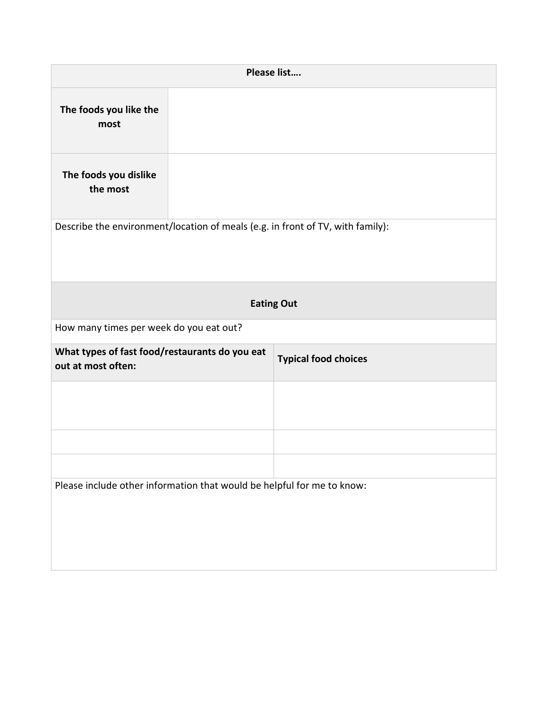|                                                                                | Please list |                             |
|--------------------------------------------------------------------------------|-------------|-----------------------------|
| The foods you like the<br>most                                                 |             |                             |
| The foods you dislike<br>the most                                              |             |                             |
| Describe the environment/location of meals (e.g. in front of TV, with family): |             |                             |
|                                                                                |             | <b>Eating Out</b>           |
| How many times per week do you eat out?                                        |             |                             |
| What types of fast food/restaurants do you eat<br>out at most often:           |             | <b>Typical food choices</b> |
|                                                                                |             |                             |
|                                                                                |             |                             |
|                                                                                |             |                             |
|                                                                                |             |                             |
| Please include other information that would be helpful for me to know:         |             |                             |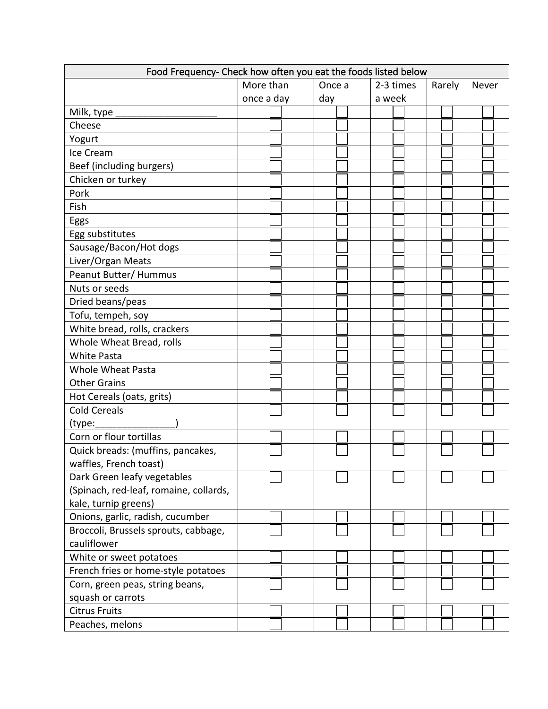| Food Frequency- Check how often you eat the foods listed below |                   |  |        |  |  |           |  |  |        |  |  |       |  |  |
|----------------------------------------------------------------|-------------------|--|--------|--|--|-----------|--|--|--------|--|--|-------|--|--|
|                                                                | More than         |  | Once a |  |  | 2-3 times |  |  | Rarely |  |  | Never |  |  |
|                                                                | once a day<br>day |  | a week |  |  |           |  |  |        |  |  |       |  |  |
| Milk, type                                                     |                   |  |        |  |  |           |  |  |        |  |  |       |  |  |
| Cheese                                                         |                   |  |        |  |  |           |  |  |        |  |  |       |  |  |
| Yogurt                                                         |                   |  |        |  |  |           |  |  |        |  |  |       |  |  |
| Ice Cream                                                      |                   |  |        |  |  |           |  |  |        |  |  |       |  |  |
| Beef (including burgers)                                       |                   |  |        |  |  |           |  |  |        |  |  |       |  |  |
| Chicken or turkey                                              |                   |  |        |  |  |           |  |  |        |  |  |       |  |  |
| Pork                                                           |                   |  |        |  |  |           |  |  |        |  |  |       |  |  |
| Fish                                                           |                   |  |        |  |  |           |  |  |        |  |  |       |  |  |
| Eggs                                                           |                   |  |        |  |  |           |  |  |        |  |  |       |  |  |
| Egg substitutes                                                |                   |  |        |  |  |           |  |  |        |  |  |       |  |  |
| Sausage/Bacon/Hot dogs                                         |                   |  |        |  |  |           |  |  |        |  |  |       |  |  |
| Liver/Organ Meats                                              |                   |  |        |  |  |           |  |  |        |  |  |       |  |  |
| Peanut Butter/ Hummus                                          |                   |  |        |  |  |           |  |  |        |  |  |       |  |  |
| Nuts or seeds                                                  |                   |  |        |  |  |           |  |  |        |  |  |       |  |  |
| Dried beans/peas                                               |                   |  |        |  |  |           |  |  |        |  |  |       |  |  |
| Tofu, tempeh, soy                                              |                   |  |        |  |  |           |  |  |        |  |  |       |  |  |
| White bread, rolls, crackers                                   |                   |  |        |  |  |           |  |  |        |  |  |       |  |  |
| Whole Wheat Bread, rolls                                       |                   |  |        |  |  |           |  |  |        |  |  |       |  |  |
| <b>White Pasta</b>                                             |                   |  |        |  |  |           |  |  |        |  |  |       |  |  |
| <b>Whole Wheat Pasta</b>                                       |                   |  |        |  |  |           |  |  |        |  |  |       |  |  |
| <b>Other Grains</b>                                            |                   |  |        |  |  |           |  |  |        |  |  |       |  |  |
| Hot Cereals (oats, grits)                                      |                   |  |        |  |  |           |  |  |        |  |  |       |  |  |
| <b>Cold Cereals</b>                                            |                   |  |        |  |  |           |  |  |        |  |  |       |  |  |
| (type:                                                         |                   |  |        |  |  |           |  |  |        |  |  |       |  |  |
| Corn or flour tortillas                                        |                   |  |        |  |  |           |  |  |        |  |  |       |  |  |
| Quick breads: (muffins, pancakes,                              |                   |  |        |  |  |           |  |  |        |  |  |       |  |  |
| waffles, French toast)                                         |                   |  |        |  |  |           |  |  |        |  |  |       |  |  |
| Dark Green leafy vegetables                                    |                   |  |        |  |  |           |  |  |        |  |  |       |  |  |
| (Spinach, red-leaf, romaine, collards,                         |                   |  |        |  |  |           |  |  |        |  |  |       |  |  |
| kale, turnip greens)                                           |                   |  |        |  |  |           |  |  |        |  |  |       |  |  |
| Onions, garlic, radish, cucumber                               |                   |  |        |  |  |           |  |  |        |  |  |       |  |  |
| Broccoli, Brussels sprouts, cabbage,                           |                   |  |        |  |  |           |  |  |        |  |  |       |  |  |
| cauliflower                                                    |                   |  |        |  |  |           |  |  |        |  |  |       |  |  |
| White or sweet potatoes                                        |                   |  |        |  |  |           |  |  |        |  |  |       |  |  |
| French fries or home-style potatoes                            |                   |  |        |  |  |           |  |  |        |  |  |       |  |  |
| Corn, green peas, string beans,                                |                   |  |        |  |  |           |  |  |        |  |  |       |  |  |
| squash or carrots                                              |                   |  |        |  |  |           |  |  |        |  |  |       |  |  |
| <b>Citrus Fruits</b>                                           |                   |  |        |  |  |           |  |  |        |  |  |       |  |  |
| Peaches, melons                                                |                   |  |        |  |  |           |  |  |        |  |  |       |  |  |